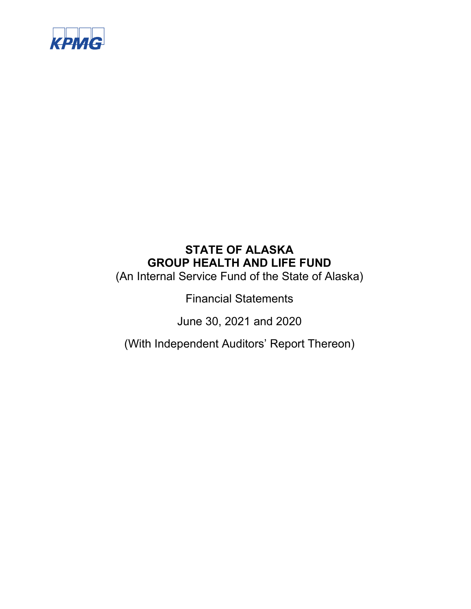

(An Internal Service Fund of the State of Alaska)

Financial Statements

June 30, 2021 and 2020

(With Independent Auditors' Report Thereon)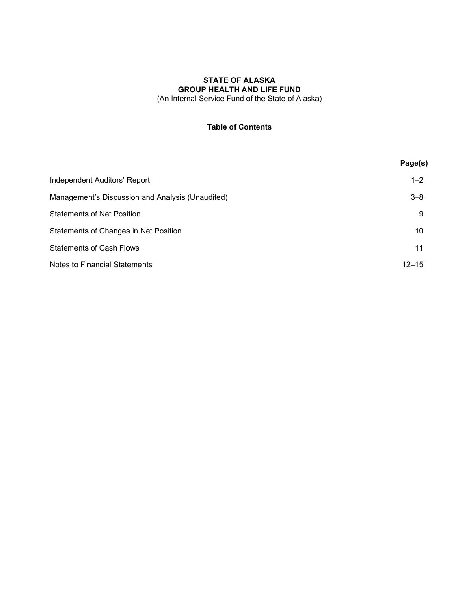(An Internal Service Fund of the State of Alaska)

# **Table of Contents**

|                                                  | Page(s)   |
|--------------------------------------------------|-----------|
| Independent Auditors' Report                     | $1 - 2$   |
| Management's Discussion and Analysis (Unaudited) | $3 - 8$   |
| <b>Statements of Net Position</b>                | 9         |
| Statements of Changes in Net Position            | 10        |
| <b>Statements of Cash Flows</b>                  | 11        |
| Notes to Financial Statements                    | $12 - 15$ |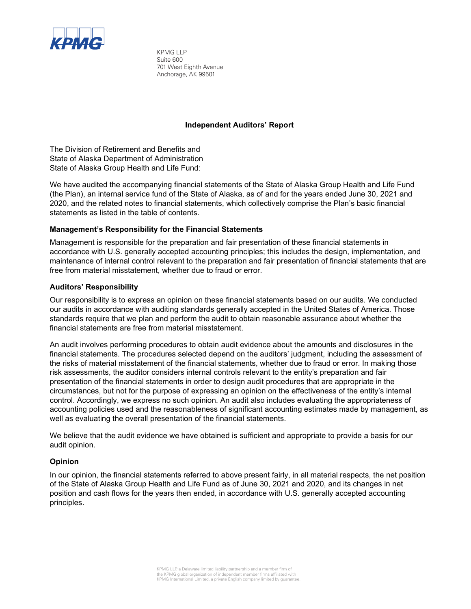

KPMG LLP Suite 600 701 West Eighth Avenue Anchorage, AK 99501

### **Independent Auditors' Report**

The Division of Retirement and Benefits and State of Alaska Department of Administration State of Alaska Group Health and Life Fund:

We have audited the accompanying financial statements of the State of Alaska Group Health and Life Fund (the Plan), an internal service fund of the State of Alaska, as of and for the years ended June 30, 2021 and 2020, and the related notes to financial statements, which collectively comprise the Plan's basic financial statements as listed in the table of contents.

### **Management's Responsibility for the Financial Statements**

Management is responsible for the preparation and fair presentation of these financial statements in accordance with U.S. generally accepted accounting principles; this includes the design, implementation, and maintenance of internal control relevant to the preparation and fair presentation of financial statements that are free from material misstatement, whether due to fraud or error.

### **Auditors' Responsibility**

Our responsibility is to express an opinion on these financial statements based on our audits. We conducted our audits in accordance with auditing standards generally accepted in the United States of America. Those standards require that we plan and perform the audit to obtain reasonable assurance about whether the financial statements are free from material misstatement.

An audit involves performing procedures to obtain audit evidence about the amounts and disclosures in the financial statements. The procedures selected depend on the auditors' judgment, including the assessment of the risks of material misstatement of the financial statements, whether due to fraud or error. In making those risk assessments, the auditor considers internal controls relevant to the entity's preparation and fair presentation of the financial statements in order to design audit procedures that are appropriate in the circumstances, but not for the purpose of expressing an opinion on the effectiveness of the entity's internal control. Accordingly, we express no such opinion. An audit also includes evaluating the appropriateness of accounting policies used and the reasonableness of significant accounting estimates made by management, as well as evaluating the overall presentation of the financial statements.

We believe that the audit evidence we have obtained is sufficient and appropriate to provide a basis for our audit opinion.

### **Opinion**

In our opinion, the financial statements referred to above present fairly, in all material respects, the net position of the State of Alaska Group Health and Life Fund as of June 30, 2021 and 2020, and its changes in net position and cash flows for the years then ended, in accordance with U.S. generally accepted accounting principles.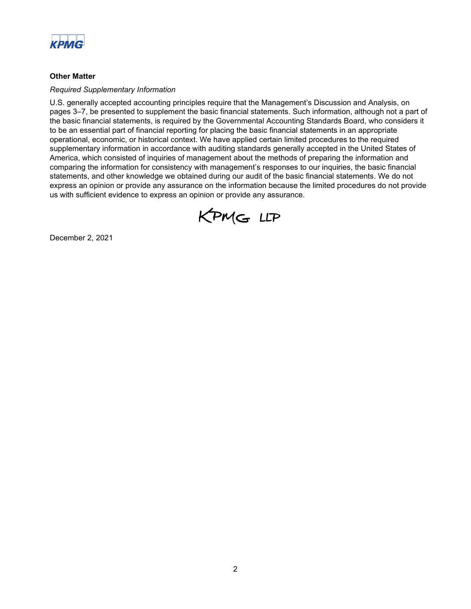

### **Other Matter**

#### *Required Supplementary Information*

U.S. generally accepted accounting principles require that the Management's Discussion and Analysis, on pages 3–7, be presented to supplement the basic financial statements. Such information, although not a part of the basic financial statements, is required by the Governmental Accounting Standards Board, who considers it to be an essential part of financial reporting for placing the basic financial statements in an appropriate operational, economic, or historical context. We have applied certain limited procedures to the required supplementary information in accordance with auditing standards generally accepted in the United States of America, which consisted of inquiries of management about the methods of preparing the information and comparing the information for consistency with management's responses to our inquiries, the basic financial statements, and other knowledge we obtained during our audit of the basic financial statements. We do not express an opinion or provide any assurance on the information because the limited procedures do not provide us with sufficient evidence to express an opinion or provide any assurance.



December 2, 2021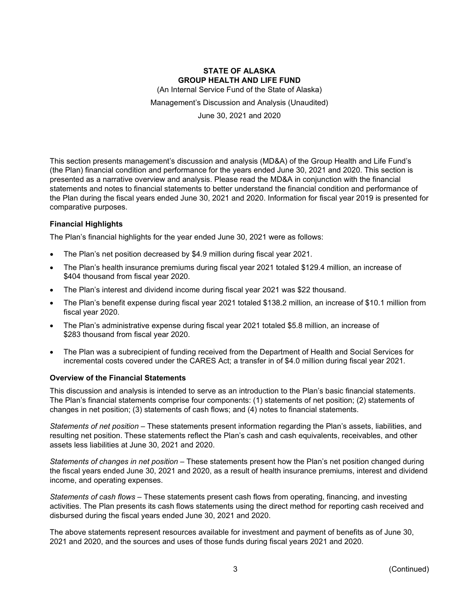(An Internal Service Fund of the State of Alaska)

Management's Discussion and Analysis (Unaudited)

June 30, 2021 and 2020

This section presents management's discussion and analysis (MD&A) of the Group Health and Life Fund's (the Plan) financial condition and performance for the years ended June 30, 2021 and 2020. This section is presented as a narrative overview and analysis. Please read the MD&A in conjunction with the financial statements and notes to financial statements to better understand the financial condition and performance of the Plan during the fiscal years ended June 30, 2021 and 2020. Information for fiscal year 2019 is presented for comparative purposes.

### **Financial Highlights**

The Plan's financial highlights for the year ended June 30, 2021 were as follows:

- The Plan's net position decreased by \$4.9 million during fiscal year 2021.
- The Plan's health insurance premiums during fiscal year 2021 totaled \$129.4 million, an increase of \$404 thousand from fiscal year 2020.
- The Plan's interest and dividend income during fiscal year 2021 was \$22 thousand.
- The Plan's benefit expense during fiscal year 2021 totaled \$138.2 million, an increase of \$10.1 million from fiscal year 2020.
- The Plan's administrative expense during fiscal year 2021 totaled \$5.8 million, an increase of \$283 thousand from fiscal year 2020.
- The Plan was a subrecipient of funding received from the Department of Health and Social Services for incremental costs covered under the CARES Act; a transfer in of \$4.0 million during fiscal year 2021.

#### **Overview of the Financial Statements**

This discussion and analysis is intended to serve as an introduction to the Plan's basic financial statements. The Plan's financial statements comprise four components: (1) statements of net position; (2) statements of changes in net position; (3) statements of cash flows; and (4) notes to financial statements.

*Statements of net position* – These statements present information regarding the Plan's assets, liabilities, and resulting net position. These statements reflect the Plan's cash and cash equivalents, receivables, and other assets less liabilities at June 30, 2021 and 2020.

*Statements of changes in net position* – These statements present how the Plan's net position changed during the fiscal years ended June 30, 2021 and 2020, as a result of health insurance premiums, interest and dividend income, and operating expenses.

*Statements of cash flows* – These statements present cash flows from operating, financing, and investing activities. The Plan presents its cash flows statements using the direct method for reporting cash received and disbursed during the fiscal years ended June 30, 2021 and 2020.

The above statements represent resources available for investment and payment of benefits as of June 30, 2021 and 2020, and the sources and uses of those funds during fiscal years 2021 and 2020.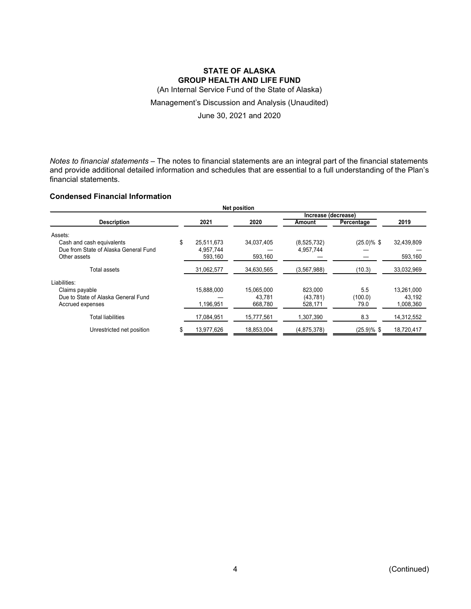(An Internal Service Fund of the State of Alaska)

### Management's Discussion and Analysis (Unaudited)

June 30, 2021 and 2020

*Notes to financial statements* – The notes to financial statements are an integral part of the financial statements and provide additional detailed information and schedules that are essential to a full understanding of the Plan's financial statements.

## **Condensed Financial Information**

| <b>Net position</b>                   |    |            |            |             |                |            |  |  |
|---------------------------------------|----|------------|------------|-------------|----------------|------------|--|--|
| Increase (decrease)                   |    |            |            |             |                |            |  |  |
| <b>Description</b>                    |    | 2021       | 2020       | Amount      | Percentage     | 2019       |  |  |
| Assets:                               |    |            |            |             |                |            |  |  |
| Cash and cash equivalents             | \$ | 25.511.673 | 34.037.405 | (8,525,732) | $(25.0)\%$ \$  | 32,439,809 |  |  |
| Due from State of Alaska General Fund |    | 4.957.744  |            | 4.957.744   |                |            |  |  |
| Other assets                          |    | 593,160    | 593,160    |             |                | 593,160    |  |  |
| Total assets                          |    | 31,062,577 | 34,630,565 | (3,567,988) | (10.3)         | 33,032,969 |  |  |
| Liabilities:                          |    |            |            |             |                |            |  |  |
| Claims payable                        |    | 15.888.000 | 15.065.000 | 823.000     | 5.5            | 13.261.000 |  |  |
| Due to State of Alaska General Fund   |    |            | 43.781     | (43, 781)   | (100.0)        | 43,192     |  |  |
| Accrued expenses                      |    | 1,196,951  | 668,780    | 528,171     | 79.0           | 1,008,360  |  |  |
| <b>Total liabilities</b>              |    | 17,084,951 | 15,777,561 | 1,307,390   | 8.3            | 14,312,552 |  |  |
| Unrestricted net position             | \$ | 13.977.626 | 18.853.004 | (4,875,378) | $(25.9) \%$ \$ | 18.720.417 |  |  |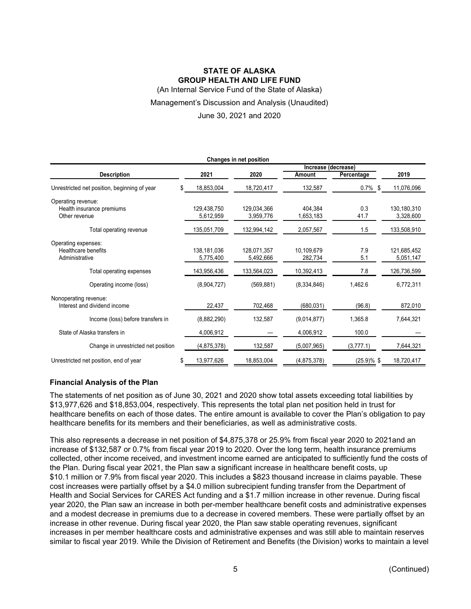(An Internal Service Fund of the State of Alaska)

#### Management's Discussion and Analysis (Unaudited)

#### June 30, 2021 and 2020

| Changes in net position                                          |                          |                          |                       |              |                          |  |  |
|------------------------------------------------------------------|--------------------------|--------------------------|-----------------------|--------------|--------------------------|--|--|
| Increase (decrease)                                              |                          |                          |                       |              |                          |  |  |
| <b>Description</b>                                               | 2021                     | 2020                     | Amount                | Percentage   | 2019                     |  |  |
| Unrestricted net position, beginning of year<br>S.               | 18,853,004               | 18,720,417               | 132,587               | $0.7\%$ \$   | 11,076,096               |  |  |
| Operating revenue:<br>Health insurance premiums<br>Other revenue | 129.438.750<br>5,612,959 | 129.034.366<br>3,959,776 | 404.384<br>1,653,183  | 0.3<br>41.7  | 130.180.310<br>3,328,600 |  |  |
| Total operating revenue                                          | 135,051,709              | 132,994,142              | 2,057,567             | 1.5          | 133,508,910              |  |  |
| Operating expenses:<br>Healthcare benefits<br>Administrative     | 138,181,036<br>5,775,400 | 128,071,357<br>5,492,666 | 10,109,679<br>282,734 | 7.9<br>5.1   | 121,685,452<br>5,051,147 |  |  |
| Total operating expenses                                         | 143,956,436              | 133,564,023              | 10,392,413            | 7.8          | 126,736,599              |  |  |
| Operating income (loss)                                          | (8,904,727)              | (569, 881)               | (8,334,846)           | 1,462.6      | 6,772,311                |  |  |
| Nonoperating revenue:<br>Interest and dividend income            | 22,437                   | 702,468                  | (680, 031)            | (96.8)       | 872,010                  |  |  |
| Income (loss) before transfers in                                | (8,882,290)              | 132,587                  | (9,014,877)           | 1.365.8      | 7.644.321                |  |  |
| State of Alaska transfers in                                     | 4,006,912                |                          | 4,006,912             | 100.0        |                          |  |  |
| Change in unrestricted net position                              | (4,875,378)              | 132,587                  | (5,007,965)           | (3,777.1)    | 7,644,321                |  |  |
| Unrestricted net position, end of year<br>\$                     | 13,977,626               | 18,853,004               | (4,875,378)           | $(25.9)$ %\$ | 18,720,417               |  |  |

### **Financial Analysis of the Plan**

The statements of net position as of June 30, 2021 and 2020 show total assets exceeding total liabilities by \$13,977,626 and \$18,853,004, respectively. This represents the total plan net position held in trust for healthcare benefits on each of those dates. The entire amount is available to cover the Plan's obligation to pay healthcare benefits for its members and their beneficiaries, as well as administrative costs.

This also represents a decrease in net position of \$4,875,378 or 25.9% from fiscal year 2020 to 2021and an increase of \$132,587 or 0.7% from fiscal year 2019 to 2020. Over the long term, health insurance premiums collected, other income received, and investment income earned are anticipated to sufficiently fund the costs of the Plan. During fiscal year 2021, the Plan saw a significant increase in healthcare benefit costs, up \$10.1 million or 7.9% from fiscal year 2020. This includes a \$823 thousand increase in claims payable. These cost increases were partially offset by a \$4.0 million subrecipient funding transfer from the Department of Health and Social Services for CARES Act funding and a \$1.7 million increase in other revenue. During fiscal year 2020, the Plan saw an increase in both per-member healthcare benefit costs and administrative expenses and a modest decrease in premiums due to a decrease in covered members. These were partially offset by an increase in other revenue. During fiscal year 2020, the Plan saw stable operating revenues, significant increases in per member healthcare costs and administrative expenses and was still able to maintain reserves similar to fiscal year 2019. While the Division of Retirement and Benefits (the Division) works to maintain a level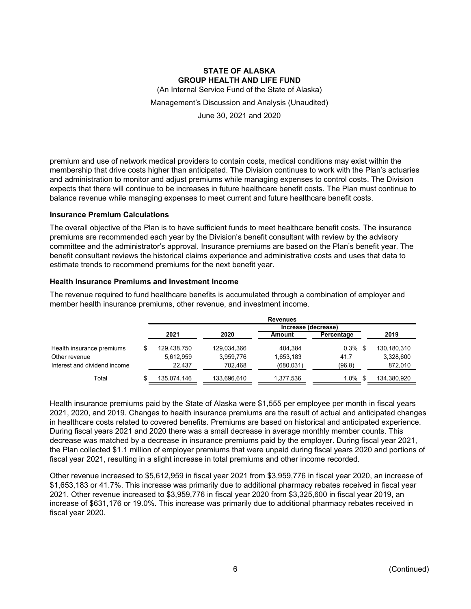(An Internal Service Fund of the State of Alaska)

Management's Discussion and Analysis (Unaudited)

June 30, 2021 and 2020

premium and use of network medical providers to contain costs, medical conditions may exist within the membership that drive costs higher than anticipated. The Division continues to work with the Plan's actuaries and administration to monitor and adjust premiums while managing expenses to control costs. The Division expects that there will continue to be increases in future healthcare benefit costs. The Plan must continue to balance revenue while managing expenses to meet current and future healthcare benefit costs.

#### **Insurance Premium Calculations**

The overall objective of the Plan is to have sufficient funds to meet healthcare benefit costs. The insurance premiums are recommended each year by the Division's benefit consultant with review by the advisory committee and the administrator's approval. Insurance premiums are based on the Plan's benefit year. The benefit consultant reviews the historical claims experience and administrative costs and uses that data to estimate trends to recommend premiums for the next benefit year.

### **Health Insurance Premiums and Investment Income**

The revenue required to fund healthcare benefits is accumulated through a combination of employer and member health insurance premiums, other revenue, and investment income.

|                              |             |             | <b>Revenues</b> |            |             |
|------------------------------|-------------|-------------|-----------------|------------|-------------|
|                              |             |             | Increase        | (decrease) |             |
|                              | 2021        | 2020        | Amount          | Percentage | 2019        |
| Health insurance premiums    | 129.438.750 | 129,034,366 | 404.384         | $0.3\%$ \$ | 130,180,310 |
| Other revenue                | 5,612,959   | 3.959.776   | 1,653,183       | 41.7       | 3,328,600   |
| Interest and dividend income | 22.437      | 702.468     | (680, 031)      | (96.8)     | 872,010     |
| Total                        | 135,074,146 | 133,696,610 | 1,377,536       | $1.0\%$    | 134,380,920 |

Health insurance premiums paid by the State of Alaska were \$1,555 per employee per month in fiscal years 2021, 2020, and 2019. Changes to health insurance premiums are the result of actual and anticipated changes in healthcare costs related to covered benefits. Premiums are based on historical and anticipated experience. During fiscal years 2021 and 2020 there was a small decrease in average monthly member counts. This decrease was matched by a decrease in insurance premiums paid by the employer. During fiscal year 2021, the Plan collected \$1.1 million of employer premiums that were unpaid during fiscal years 2020 and portions of fiscal year 2021, resulting in a slight increase in total premiums and other income recorded.

Other revenue increased to \$5,612,959 in fiscal year 2021 from \$3,959,776 in fiscal year 2020, an increase of \$1,653,183 or 41.7%. This increase was primarily due to additional pharmacy rebates received in fiscal year 2021. Other revenue increased to \$3,959,776 in fiscal year 2020 from \$3,325,600 in fiscal year 2019, an increase of \$631,176 or 19.0%. This increase was primarily due to additional pharmacy rebates received in fiscal year 2020.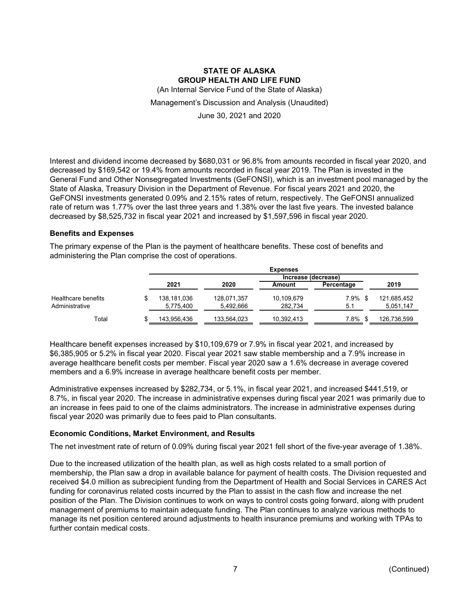(An Internal Service Fund of the State of Alaska)

Management's Discussion and Analysis (Unaudited)

June 30, 2021 and 2020

Interest and dividend income decreased by \$680,031 or 96.8% from amounts recorded in fiscal year 2020, and decreased by \$169,542 or 19.4% from amounts recorded in fiscal year 2019. The Plan is invested in the General Fund and Other Nonsegregated Investments (GeFONSI), which is an investment pool managed by the State of Alaska, Treasury Division in the Department of Revenue. For fiscal years 2021 and 2020, the GeFONSI investments generated 0.09% and 2.15% rates of return, respectively. The GeFONSI annualized rate of return was 1.77% over the last three years and 1.38% over the last five years. The invested balance decreased by \$8,525,732 in fiscal year 2021 and increased by \$1,597,596 in fiscal year 2020.

### **Benefits and Expenses**

The primary expense of the Plan is the payment of healthcare benefits. These cost of benefits and administering the Plan comprise the cost of operations.

|                     |                     |             | <b>Expenses</b> |            |             |
|---------------------|---------------------|-------------|-----------------|------------|-------------|
|                     | Increase (decrease) |             |                 |            |             |
|                     | 2021                | 2020        | Amount          | Percentage | 2019        |
| Healthcare benefits | 138,181,036         | 128,071,357 | 10,109,679      | 7.9%       | 121,685,452 |
| Administrative      | 5,775,400           | 5,492,666   | 282.734         | 5.1        | 5,051,147   |
| Total               | 143,956,436         | 133,564,023 | 10,392,413      | 7.8%       | 126,736,599 |

Healthcare benefit expenses increased by \$10,109,679 or 7.9% in fiscal year 2021, and increased by \$6,385,905 or 5.2% in fiscal year 2020. Fiscal year 2021 saw stable membership and a 7.9% increase in average healthcare benefit costs per member. Fiscal year 2020 saw a 1.6% decrease in average covered members and a 6.9% increase in average healthcare benefit costs per member.

Administrative expenses increased by \$282,734, or 5.1%, in fiscal year 2021, and increased \$441,519, or 8.7%, in fiscal year 2020. The increase in administrative expenses during fiscal year 2021 was primarily due to an increase in fees paid to one of the claims administrators. The increase in administrative expenses during fiscal year 2020 was primarily due to fees paid to Plan consultants.

### **Economic Conditions, Market Environment, and Results**

The net investment rate of return of 0.09% during fiscal year 2021 fell short of the five-year average of 1.38%.

Due to the increased utilization of the health plan, as well as high costs related to a small portion of membership, the Plan saw a drop in available balance for payment of health costs. The Division requested and received \$4.0 million as subrecipient funding from the Department of Health and Social Services in CARES Act funding for coronavirus related costs incurred by the Plan to assist in the cash flow and increase the net position of the Plan. The Division continues to work on ways to control costs going forward, along with prudent management of premiums to maintain adequate funding. The Plan continues to analyze various methods to manage its net position centered around adjustments to health insurance premiums and working with TPAs to further contain medical costs.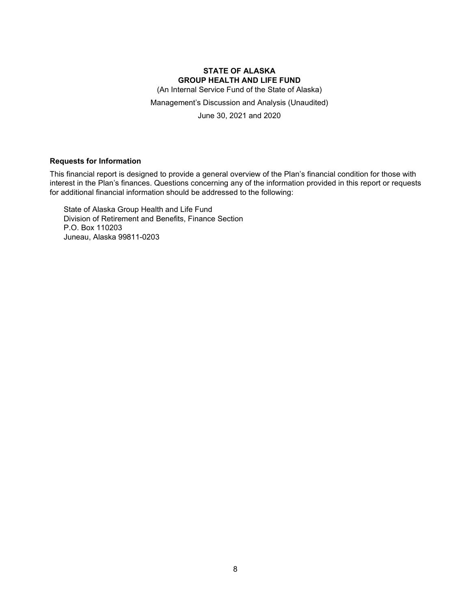(An Internal Service Fund of the State of Alaska)

Management's Discussion and Analysis (Unaudited)

June 30, 2021 and 2020

### **Requests for Information**

This financial report is designed to provide a general overview of the Plan's financial condition for those with interest in the Plan's finances. Questions concerning any of the information provided in this report or requests for additional financial information should be addressed to the following:

State of Alaska Group Health and Life Fund Division of Retirement and Benefits, Finance Section P.O. Box 110203 Juneau, Alaska 99811-0203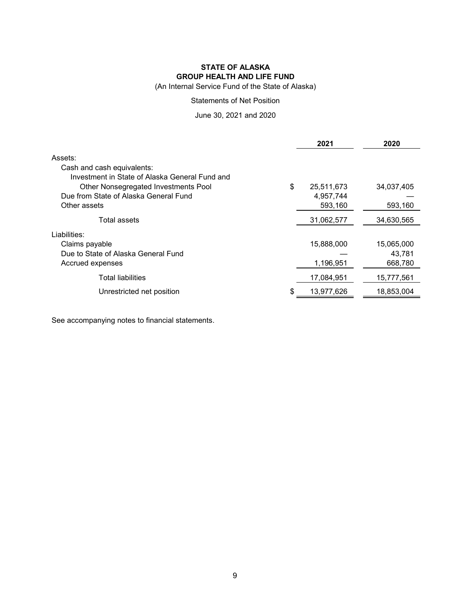(An Internal Service Fund of the State of Alaska)

### Statements of Net Position

June 30, 2021 and 2020

|                                                                              | 2021             | 2020       |
|------------------------------------------------------------------------------|------------------|------------|
| Assets:                                                                      |                  |            |
| Cash and cash equivalents:<br>Investment in State of Alaska General Fund and |                  |            |
| Other Nonsegregated Investments Pool                                         | \$<br>25,511,673 | 34,037,405 |
| Due from State of Alaska General Fund                                        | 4,957,744        |            |
| Other assets                                                                 | 593,160          | 593,160    |
| Total assets                                                                 | 31,062,577       | 34,630,565 |
| Liabilities:                                                                 |                  |            |
| Claims payable                                                               | 15,888,000       | 15,065,000 |
| Due to State of Alaska General Fund                                          |                  | 43.781     |
| Accrued expenses                                                             | 1,196,951        | 668,780    |
| <b>Total liabilities</b>                                                     | 17,084,951       | 15,777,561 |
| Unrestricted net position                                                    | \$<br>13,977,626 | 18,853,004 |

See accompanying notes to financial statements.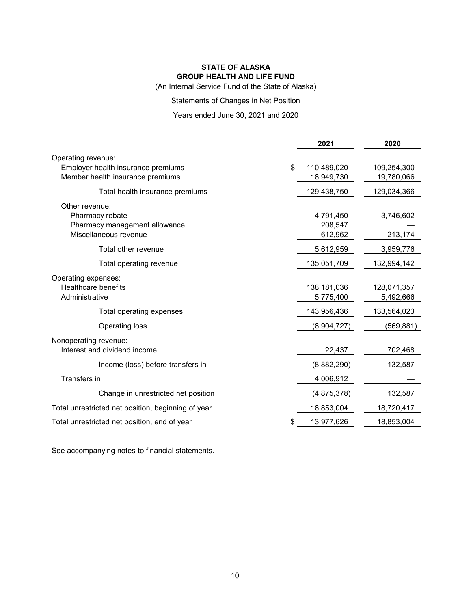(An Internal Service Fund of the State of Alaska)

Statements of Changes in Net Position

### Years ended June 30, 2021 and 2020

|                                                                                              | 2021                            | 2020                      |
|----------------------------------------------------------------------------------------------|---------------------------------|---------------------------|
| Operating revenue:<br>Employer health insurance premiums<br>Member health insurance premiums | \$<br>110,489,020<br>18,949,730 | 109,254,300<br>19,780,066 |
| Total health insurance premiums                                                              | 129,438,750                     | 129,034,366               |
| Other revenue:<br>Pharmacy rebate<br>Pharmacy management allowance<br>Miscellaneous revenue  | 4,791,450<br>208,547<br>612,962 | 3,746,602<br>213,174      |
| Total other revenue                                                                          | 5,612,959                       | 3,959,776                 |
| Total operating revenue                                                                      | 135,051,709                     | 132,994,142               |
| Operating expenses:<br><b>Healthcare benefits</b><br>Administrative                          | 138,181,036<br>5,775,400        | 128,071,357<br>5,492,666  |
| Total operating expenses                                                                     | 143,956,436                     | 133,564,023               |
| Operating loss                                                                               | (8,904,727)                     | (569, 881)                |
| Nonoperating revenue:<br>Interest and dividend income                                        | 22,437                          | 702,468                   |
| Income (loss) before transfers in                                                            | (8,882,290)                     | 132,587                   |
| Transfers in                                                                                 | 4,006,912                       |                           |
| Change in unrestricted net position                                                          | (4,875,378)                     | 132,587                   |
| Total unrestricted net position, beginning of year                                           | 18,853,004                      | 18,720,417                |
| Total unrestricted net position, end of year                                                 | 13,977,626                      | 18,853,004                |
|                                                                                              |                                 |                           |

See accompanying notes to financial statements.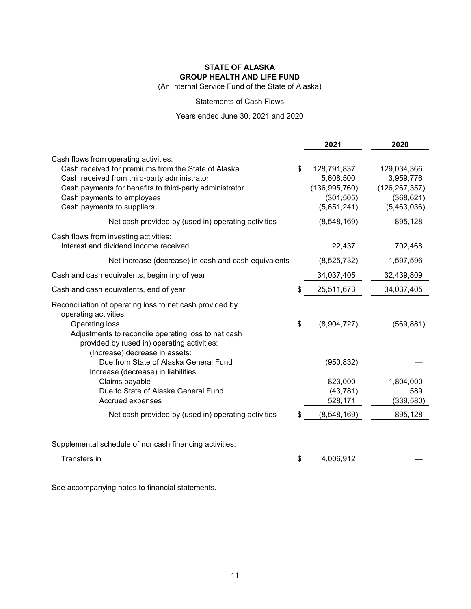(An Internal Service Fund of the State of Alaska)

### Statements of Cash Flows

# Years ended June 30, 2021 and 2020

|                                                                                                                                                                                                                                                                     | 2021                                                                           | 2020                                                                     |
|---------------------------------------------------------------------------------------------------------------------------------------------------------------------------------------------------------------------------------------------------------------------|--------------------------------------------------------------------------------|--------------------------------------------------------------------------|
| Cash flows from operating activities:<br>Cash received for premiums from the State of Alaska<br>Cash received from third-party administrator<br>Cash payments for benefits to third-party administrator<br>Cash payments to employees<br>Cash payments to suppliers | \$<br>128,791,837<br>5,608,500<br>(136, 995, 760)<br>(301, 505)<br>(5,651,241) | 129,034,366<br>3,959,776<br>(126, 267, 357)<br>(368, 621)<br>(5,463,036) |
| Net cash provided by (used in) operating activities                                                                                                                                                                                                                 | (8,548,169)                                                                    | 895,128                                                                  |
| Cash flows from investing activities:<br>Interest and dividend income received                                                                                                                                                                                      | 22,437                                                                         | 702,468                                                                  |
| Net increase (decrease) in cash and cash equivalents                                                                                                                                                                                                                | (8,525,732)                                                                    | 1,597,596                                                                |
| Cash and cash equivalents, beginning of year                                                                                                                                                                                                                        | 34,037,405                                                                     | 32,439,809                                                               |
| Cash and cash equivalents, end of year                                                                                                                                                                                                                              | 25,511,673                                                                     | 34,037,405                                                               |
| Reconciliation of operating loss to net cash provided by<br>operating activities:<br>Operating loss<br>Adjustments to reconcile operating loss to net cash<br>provided by (used in) operating activities:<br>(Increase) decrease in assets:                         | \$<br>(8,904,727)                                                              | (569, 881)                                                               |
| Due from State of Alaska General Fund<br>Increase (decrease) in liabilities:                                                                                                                                                                                        | (950, 832)                                                                     |                                                                          |
| Claims payable<br>Due to State of Alaska General Fund<br>Accrued expenses                                                                                                                                                                                           | 823,000<br>(43, 781)<br>528,171                                                | 1,804,000<br>589<br>(339, 580)                                           |
| Net cash provided by (used in) operating activities                                                                                                                                                                                                                 | (8,548,169)                                                                    | 895,128                                                                  |
| Supplemental schedule of noncash financing activities:<br>Transfers in                                                                                                                                                                                              | \$<br>4,006,912                                                                |                                                                          |

See accompanying notes to financial statements.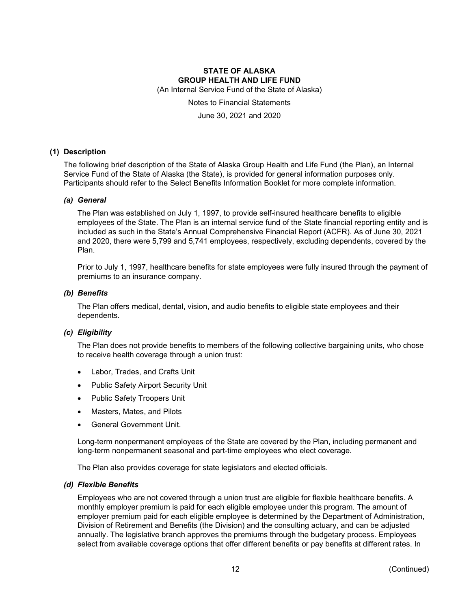(An Internal Service Fund of the State of Alaska)

# Notes to Financial Statements

June 30, 2021 and 2020

### **(1) Description**

The following brief description of the State of Alaska Group Health and Life Fund (the Plan), an Internal Service Fund of the State of Alaska (the State), is provided for general information purposes only. Participants should refer to the Select Benefits Information Booklet for more complete information.

### *(a) General*

The Plan was established on July 1, 1997, to provide self-insured healthcare benefits to eligible employees of the State. The Plan is an internal service fund of the State financial reporting entity and is included as such in the State's Annual Comprehensive Financial Report (ACFR). As of June 30, 2021 and 2020, there were 5,799 and 5,741 employees, respectively, excluding dependents, covered by the Plan.

Prior to July 1, 1997, healthcare benefits for state employees were fully insured through the payment of premiums to an insurance company.

#### *(b) Benefits*

The Plan offers medical, dental, vision, and audio benefits to eligible state employees and their dependents.

#### *(c) Eligibility*

The Plan does not provide benefits to members of the following collective bargaining units, who chose to receive health coverage through a union trust:

- Labor, Trades, and Crafts Unit
- Public Safety Airport Security Unit
- Public Safety Troopers Unit
- Masters, Mates, and Pilots
- General Government Unit.

Long-term nonpermanent employees of the State are covered by the Plan, including permanent and long-term nonpermanent seasonal and part-time employees who elect coverage.

The Plan also provides coverage for state legislators and elected officials.

#### *(d) Flexible Benefits*

Employees who are not covered through a union trust are eligible for flexible healthcare benefits. A monthly employer premium is paid for each eligible employee under this program. The amount of employer premium paid for each eligible employee is determined by the Department of Administration, Division of Retirement and Benefits (the Division) and the consulting actuary, and can be adjusted annually. The legislative branch approves the premiums through the budgetary process. Employees select from available coverage options that offer different benefits or pay benefits at different rates. In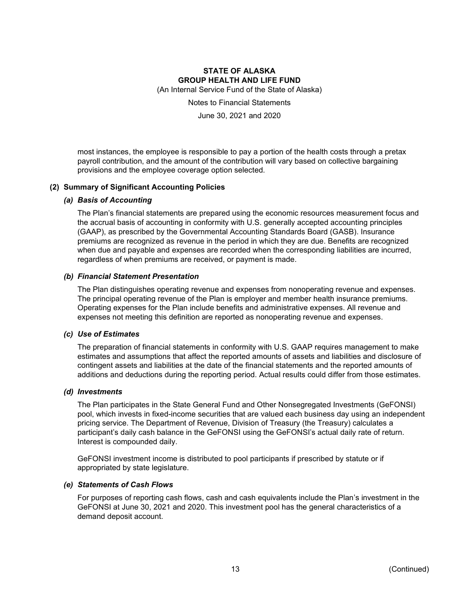(An Internal Service Fund of the State of Alaska)

Notes to Financial Statements

June 30, 2021 and 2020

most instances, the employee is responsible to pay a portion of the health costs through a pretax payroll contribution, and the amount of the contribution will vary based on collective bargaining provisions and the employee coverage option selected.

### **(2) Summary of Significant Accounting Policies**

### *(a) Basis of Accounting*

The Plan's financial statements are prepared using the economic resources measurement focus and the accrual basis of accounting in conformity with U.S. generally accepted accounting principles (GAAP), as prescribed by the Governmental Accounting Standards Board (GASB). Insurance premiums are recognized as revenue in the period in which they are due. Benefits are recognized when due and payable and expenses are recorded when the corresponding liabilities are incurred, regardless of when premiums are received, or payment is made.

### *(b) Financial Statement Presentation*

The Plan distinguishes operating revenue and expenses from nonoperating revenue and expenses. The principal operating revenue of the Plan is employer and member health insurance premiums. Operating expenses for the Plan include benefits and administrative expenses. All revenue and expenses not meeting this definition are reported as nonoperating revenue and expenses.

#### *(c) Use of Estimates*

The preparation of financial statements in conformity with U.S. GAAP requires management to make estimates and assumptions that affect the reported amounts of assets and liabilities and disclosure of contingent assets and liabilities at the date of the financial statements and the reported amounts of additions and deductions during the reporting period. Actual results could differ from those estimates.

#### *(d) Investments*

The Plan participates in the State General Fund and Other Nonsegregated Investments (GeFONSI) pool, which invests in fixed-income securities that are valued each business day using an independent pricing service. The Department of Revenue, Division of Treasury (the Treasury) calculates a participant's daily cash balance in the GeFONSI using the GeFONSI's actual daily rate of return. Interest is compounded daily.

GeFONSI investment income is distributed to pool participants if prescribed by statute or if appropriated by state legislature.

#### *(e) Statements of Cash Flows*

For purposes of reporting cash flows, cash and cash equivalents include the Plan's investment in the GeFONSI at June 30, 2021 and 2020. This investment pool has the general characteristics of a demand deposit account.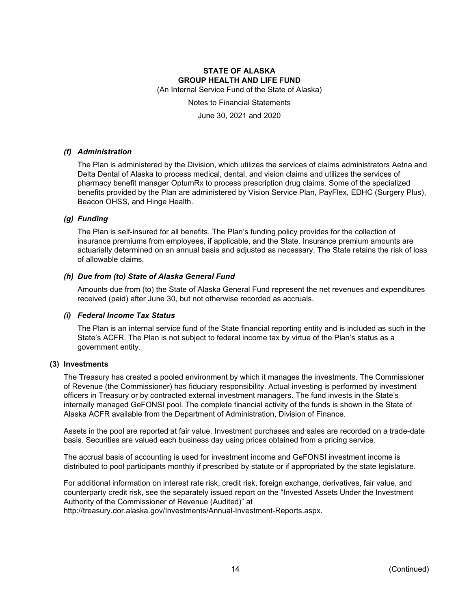(An Internal Service Fund of the State of Alaska)

Notes to Financial Statements

June 30, 2021 and 2020

### *(f) Administration*

The Plan is administered by the Division, which utilizes the services of claims administrators Aetna and Delta Dental of Alaska to process medical, dental, and vision claims and utilizes the services of pharmacy benefit manager OptumRx to process prescription drug claims. Some of the specialized benefits provided by the Plan are administered by Vision Service Plan, PayFlex, EDHC (Surgery Plus), Beacon OHSS, and Hinge Health.

### *(g) Funding*

The Plan is self-insured for all benefits. The Plan's funding policy provides for the collection of insurance premiums from employees, if applicable, and the State. Insurance premium amounts are actuarially determined on an annual basis and adjusted as necessary. The State retains the risk of loss of allowable claims.

### *(h) Due from (to) State of Alaska General Fund*

Amounts due from (to) the State of Alaska General Fund represent the net revenues and expenditures received (paid) after June 30, but not otherwise recorded as accruals.

#### *(i) Federal Income Tax Status*

The Plan is an internal service fund of the State financial reporting entity and is included as such in the State's ACFR. The Plan is not subject to federal income tax by virtue of the Plan's status as a government entity.

#### **(3) Investments**

The Treasury has created a pooled environment by which it manages the investments. The Commissioner of Revenue (the Commissioner) has fiduciary responsibility. Actual investing is performed by investment officers in Treasury or by contracted external investment managers. The fund invests in the State's internally managed GeFONSI pool. The complete financial activity of the funds is shown in the State of Alaska ACFR available from the Department of Administration, Division of Finance.

Assets in the pool are reported at fair value. Investment purchases and sales are recorded on a trade-date basis. Securities are valued each business day using prices obtained from a pricing service.

The accrual basis of accounting is used for investment income and GeFONSI investment income is distributed to pool participants monthly if prescribed by statute or if appropriated by the state legislature.

For additional information on interest rate risk, credit risk, foreign exchange, derivatives, fair value, and counterparty credit risk, see the separately issued report on the "Invested Assets Under the Investment Authority of the Commissioner of Revenue (Audited)" at http://treasury.dor.alaska.gov/Investments/Annual-Investment-Reports.aspx.

14 (Continued)